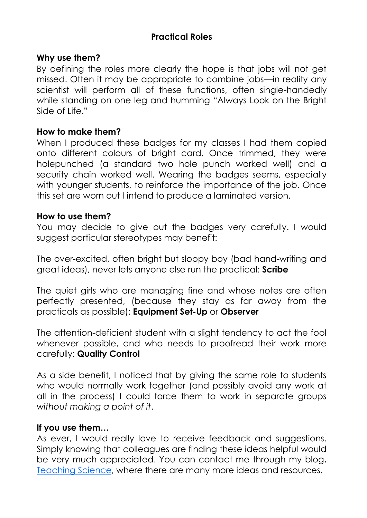## **Practical Roles**

#### **Why use them?**

By defining the roles more clearly the hope is that jobs will not get missed. Often it may be appropriate to combine jobs—in reality any scientist will perform all of these functions, often single-handedly while standing on one leg and humming "Always Look on the Bright Side of Life."

#### **How to make them?**

When I produced these badges for my classes I had them copied onto different colours of bright card. Once trimmed, they were holepunched (a standard two hole punch worked well) and a security chain worked well. Wearing the badges seems, especially with younger students, to reinforce the importance of the job. Once this set are worn out I intend to produce a laminated version.

#### **How to use them?**

You may decide to give out the badges very carefully. I would suggest particular stereotypes may benefit:

The over-excited, often bright but sloppy boy (bad hand-writing and great ideas), never lets anyone else run the practical: **Scribe**

The quiet girls who are managing fine and whose notes are often perfectly presented, (because they stay as far away from the practicals as possible): **Equipment Set-Up** or **Observer**

The attention-deficient student with a slight tendency to act the fool whenever possible, and who needs to proofread their work more carefully: **Quality Control**

As a side benefit, I noticed that by giving the same role to students who would normally work together (and possibly avoid any work at all in the process) I could force them to work in separate groups *without making a point of it*.

#### **If you use them…**

As ever, I would really love to receive feedback and suggestions. Simply knowing that colleagues are finding these ideas helpful would be very much appreciated. You can contact me through my blog, [Teaching Science,](http://teachingofscience.wordpress.com) where there are many more ideas and resources.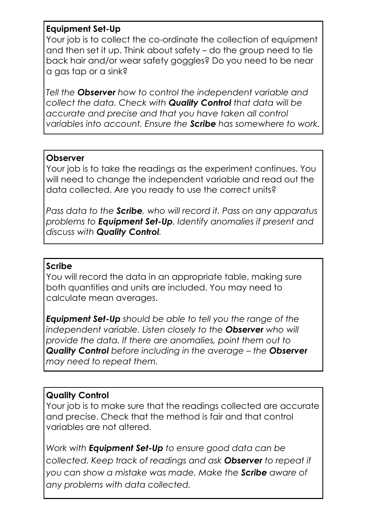### **Equipment Set-Up**

Your job is to collect the co-ordinate the collection of equipment and then set it up. Think about safety – do the group need to tie back hair and/or wear safety goggles? Do you need to be near a gas tap or a sink?

*Tell the Observer how to control the independent variable and collect the data. Check with Quality Control that data will be accurate and precise and that you have taken all control variables into account. Ensure the Scribe has somewhere to work.*

### **Observer**

Your job is to take the readings as the experiment continues. You will need to change the independent variable and read out the data collected. Are you ready to use the correct units?

*Pass data to the Scribe, who will record it. Pass on any apparatus problems to Equipment Set-Up. Identify anomalies if present and discuss with Quality Control.*

#### **Scribe**

You will record the data in an appropriate table, making sure both quantities and units are included. You may need to calculate mean averages.

*Equipment Set-Up should be able to tell you the range of the independent variable. Listen closely to the Observer who will provide the data. If there are anomalies, point them out to Quality Control before including in the average – the Observer may need to repeat them.* 

## **Quality Control**

Your job is to make sure that the readings collected are accurate and precise. Check that the method is fair and that control variables are not altered.

*Work with Equipment Set-Up to ensure good data can be collected. Keep track of readings and ask Observer to repeat if you can show a mistake was made. Make the Scribe aware of any problems with data collected.*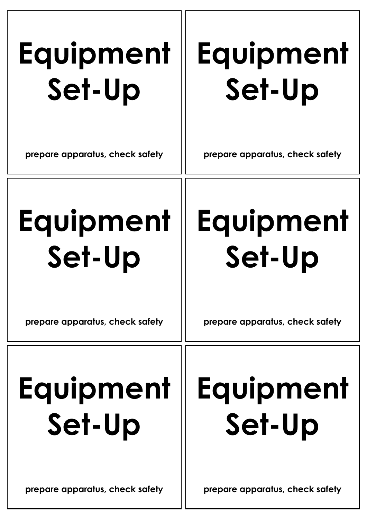# **Equipment Set-Up**

## **Equipment Set-Up**

**prepare apparatus, check safety**

**prepare apparatus, check safety**

# **Equipment Set-Up**

## **Equipment Set-Up**

**prepare apparatus, check safety**

**prepare apparatus, check safety**

# **Equipment Set-Up**

## **Equipment Set-Up**

**prepare apparatus, check safety**

**prepare apparatus, check safety**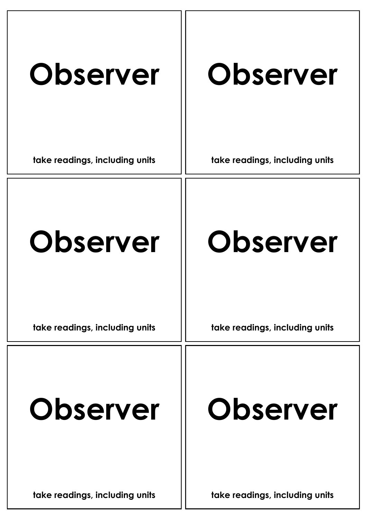| <b>Observer</b><br>take readings, including units | <b>Observer</b><br>take readings, including units |
|---------------------------------------------------|---------------------------------------------------|
|                                                   |                                                   |
| <b>Observer</b>                                   | <b>Observer</b>                                   |
| take readings, including units                    | take readings, including units                    |
| <b>Observer</b>                                   | <b>Observer</b>                                   |
| take readings, including units                    | take readings, including units                    |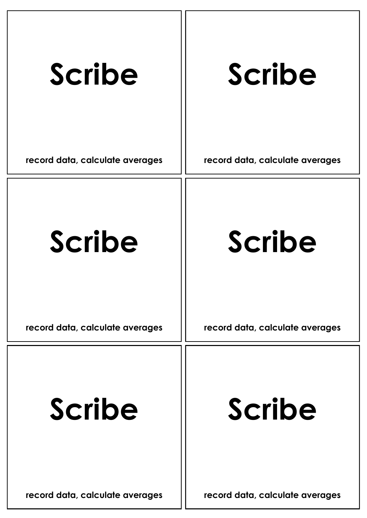